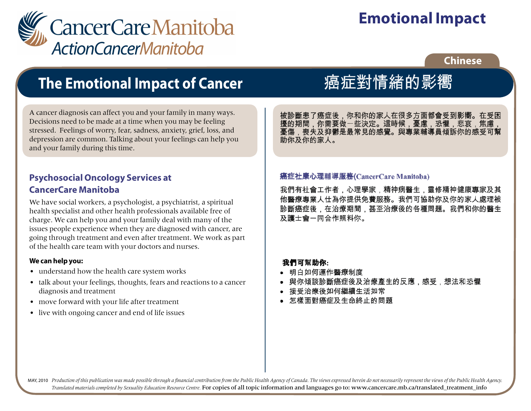

# **Emotional Impact**

## **Chinese**

## **The Emotional Impact of Cancer**

A cancer diagnosis can affect you and your family in many ways. Decisions need to be made at a time when you may be feeling stressed. Feelings of worry, fear, sadness, anxiety, grief, loss, and depression are common. Talking about your feelings can help you and your family during this time.

## **Psychosocial Oncology Services at CancerCare Manitoba**

We have social workers, a psychologist, a psychiatrist, a spiritual health specialist and other health professionals available free of charge. We can help you and your family deal with many of the issues people experience when they are diagnosed with cancer, are going through treatment and even after treatment. We work as part of the health care team with your doctors and nurses.

### **We can help you:**

- understand how the health care system works
- talk about your feelings, thoughts, fears and reactions to a cancer diagnosis and treatment
- move forward with your life after treatment
- live with ongoing cancer and end of life issues

# 癌症對情緒的影嚮

被診斷患了癌症後,你和你的家人在很多方面都會受到影嚮。在受困 擾的期間,你需要做一些決定。這時候,憂慮,恐懼,悲哀,焦慮, 憂傷,喪失及抑鬱是最常見的感覺。與專業輔導員傾訴你的感受可幫<br>助你及你的家人。

#### 癌症社康心理輔導服務(CancerCare Manitoba) 憂傷,喪失及抑鬱是最常見的感覺。與專業輔導員傾訴你的感受可幫

我們有社會工作者 他醫療專業人仕為你提供免費服務。我們可協助你及你的家人處理被 診斷癌症後,在治療期間,甚至治療後的各種問題。我們和你的醫生 及護士會一同合作照料你。

## 我們可幫助你:

e<br>S

- 明白如何運作醫療制度
- 與你傾談診斷癌症後及治療產生的反應,感受,想法和恐懼
- 接受治療後如何繼續生活如常
- 怎樣面對癌症及生命終止的問題

ا<br>MAY, 2010 Production of this publication was made possible through a financial contribution from the Public Health Agency of Canada. The views expressed herein do not necessarily represent the views of the Public Health *Translated materials completed by Sexuality Education Resource Centre.* For copies of all topic information and languages go to: www.cancercare.mb.ca/translated\_treatment\_info